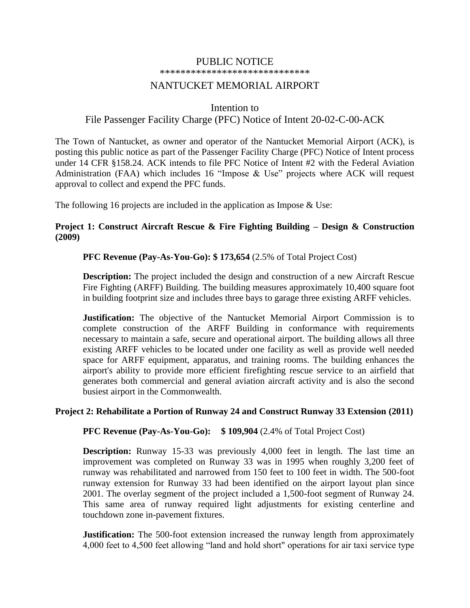#### PUBLIC NOTICE

\*\*\*\*\*\*\*\*\*\*\*\*\*\*\*\*\*\*\*\*\*\*\*\*\*\*\*\*\*

# NANTUCKET MEMORIAL AIRPORT

### Intention to

## File Passenger Facility Charge (PFC) Notice of Intent 20-02-C-00-ACK

The Town of Nantucket, as owner and operator of the Nantucket Memorial Airport (ACK), is posting this public notice as part of the Passenger Facility Charge (PFC) Notice of Intent process under 14 CFR §158.24. ACK intends to file PFC Notice of Intent #2 with the Federal Aviation Administration (FAA) which includes 16 "Impose & Use" projects where ACK will request approval to collect and expend the PFC funds.

The following 16 projects are included in the application as Impose  $&$  Use:

## **Project 1: Construct Aircraft Rescue & Fire Fighting Building – Design & Construction (2009)**

### **PFC Revenue (Pay-As-You-Go): \$ 173,654** (2.5% of Total Project Cost)

**Description:** The project included the design and construction of a new Aircraft Rescue Fire Fighting (ARFF) Building. The building measures approximately 10,400 square foot in building footprint size and includes three bays to garage three existing ARFF vehicles.

**Justification:** The objective of the Nantucket Memorial Airport Commission is to complete construction of the ARFF Building in conformance with requirements necessary to maintain a safe, secure and operational airport. The building allows all three existing ARFF vehicles to be located under one facility as well as provide well needed space for ARFF equipment, apparatus, and training rooms. The building enhances the airport's ability to provide more efficient firefighting rescue service to an airfield that generates both commercial and general aviation aircraft activity and is also the second busiest airport in the Commonwealth.

### **Project 2: Rehabilitate a Portion of Runway 24 and Construct Runway 33 Extension (2011)**

**PFC Revenue (Pay-As-You-Go): \$ 109,904** (2.4% of Total Project Cost)

**Description:** Runway 15-33 was previously 4,000 feet in length. The last time an improvement was completed on Runway 33 was in 1995 when roughly 3,200 feet of runway was rehabilitated and narrowed from 150 feet to 100 feet in width. The 500-foot runway extension for Runway 33 had been identified on the airport layout plan since 2001. The overlay segment of the project included a 1,500-foot segment of Runway 24. This same area of runway required light adjustments for existing centerline and touchdown zone in-pavement fixtures.

**Justification:** The 500-foot extension increased the runway length from approximately 4,000 feet to 4,500 feet allowing "land and hold short" operations for air taxi service type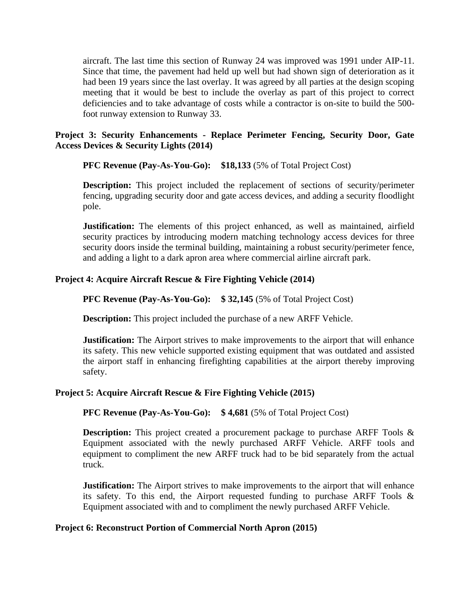aircraft. The last time this section of Runway 24 was improved was 1991 under AIP-11. Since that time, the pavement had held up well but had shown sign of deterioration as it had been 19 years since the last overlay. It was agreed by all parties at the design scoping meeting that it would be best to include the overlay as part of this project to correct deficiencies and to take advantage of costs while a contractor is on-site to build the 500 foot runway extension to Runway 33.

## **Project 3: Security Enhancements - Replace Perimeter Fencing, Security Door, Gate Access Devices & Security Lights (2014)**

## **PFC Revenue (Pay-As-You-Go): \$18,133** (5% of Total Project Cost)

**Description:** This project included the replacement of sections of security/perimeter fencing, upgrading security door and gate access devices, and adding a security floodlight pole.

**Justification:** The elements of this project enhanced, as well as maintained, airfield security practices by introducing modern matching technology access devices for three security doors inside the terminal building, maintaining a robust security/perimeter fence, and adding a light to a dark apron area where commercial airline aircraft park.

## **Project 4: Acquire Aircraft Rescue & Fire Fighting Vehicle (2014)**

### **PFC Revenue (Pay-As-You-Go): \$ 32,145** (5% of Total Project Cost)

**Description:** This project included the purchase of a new ARFF Vehicle.

**Justification:** The Airport strives to make improvements to the airport that will enhance its safety. This new vehicle supported existing equipment that was outdated and assisted the airport staff in enhancing firefighting capabilities at the airport thereby improving safety.

### **Project 5: Acquire Aircraft Rescue & Fire Fighting Vehicle (2015)**

```
PFC Revenue (Pay-As-You-Go): $ 4,681 (5% of Total Project Cost)
```
**Description:** This project created a procurement package to purchase ARFF Tools & Equipment associated with the newly purchased ARFF Vehicle. ARFF tools and equipment to compliment the new ARFF truck had to be bid separately from the actual truck.

**Justification:** The Airport strives to make improvements to the airport that will enhance its safety. To this end, the Airport requested funding to purchase ARFF Tools  $\&$ Equipment associated with and to compliment the newly purchased ARFF Vehicle.

### **Project 6: Reconstruct Portion of Commercial North Apron (2015)**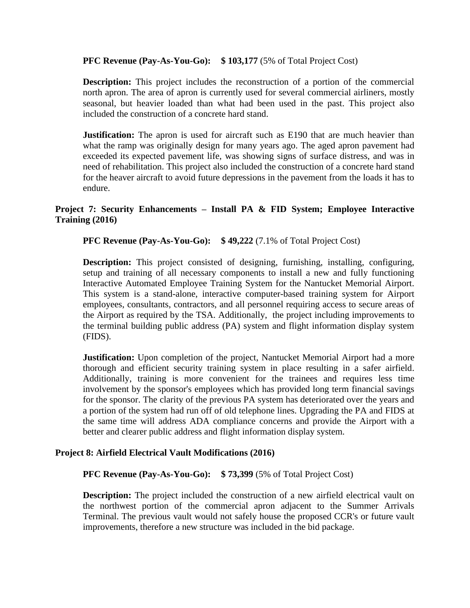### **PFC Revenue (Pay-As-You-Go):** \$103,177 (5% of Total Project Cost)

**Description:** This project includes the reconstruction of a portion of the commercial north apron. The area of apron is currently used for several commercial airliners, mostly seasonal, but heavier loaded than what had been used in the past. This project also included the construction of a concrete hard stand.

**Justification:** The apron is used for aircraft such as E190 that are much heavier than what the ramp was originally design for many years ago. The aged apron pavement had exceeded its expected pavement life, was showing signs of surface distress, and was in need of rehabilitation. This project also included the construction of a concrete hard stand for the heaver aircraft to avoid future depressions in the pavement from the loads it has to endure.

## **Project 7: Security Enhancements – Install PA & FID System; Employee Interactive Training (2016)**

**PFC Revenue (Pay-As-You-Go): \$ 49,222** (7.1% of Total Project Cost)

**Description:** This project consisted of designing, furnishing, installing, configuring, setup and training of all necessary components to install a new and fully functioning Interactive Automated Employee Training System for the Nantucket Memorial Airport. This system is a stand-alone, interactive computer-based training system for Airport employees, consultants, contractors, and all personnel requiring access to secure areas of the Airport as required by the TSA. Additionally, the project including improvements to the terminal building public address (PA) system and flight information display system (FIDS).

**Justification:** Upon completion of the project, Nantucket Memorial Airport had a more thorough and efficient security training system in place resulting in a safer airfield. Additionally, training is more convenient for the trainees and requires less time involvement by the sponsor's employees which has provided long term financial savings for the sponsor. The clarity of the previous PA system has deteriorated over the years and a portion of the system had run off of old telephone lines. Upgrading the PA and FIDS at the same time will address ADA compliance concerns and provide the Airport with a better and clearer public address and flight information display system.

### **Project 8: Airfield Electrical Vault Modifications (2016)**

**PFC Revenue (Pay-As-You-Go): \$ 73,399** (5% of Total Project Cost)

**Description:** The project included the construction of a new airfield electrical vault on the northwest portion of the commercial apron adjacent to the Summer Arrivals Terminal. The previous vault would not safely house the proposed CCR's or future vault improvements, therefore a new structure was included in the bid package.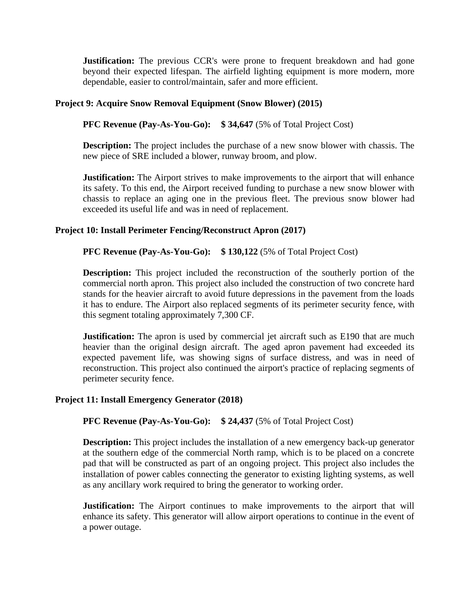**Justification:** The previous CCR's were prone to frequent breakdown and had gone beyond their expected lifespan. The airfield lighting equipment is more modern, more dependable, easier to control/maintain, safer and more efficient.

## **Project 9: Acquire Snow Removal Equipment (Snow Blower) (2015)**

**PFC Revenue (Pay-As-You-Go): \$ 34,647** (5% of Total Project Cost)

**Description:** The project includes the purchase of a new snow blower with chassis. The new piece of SRE included a blower, runway broom, and plow.

**Justification:** The Airport strives to make improvements to the airport that will enhance its safety. To this end, the Airport received funding to purchase a new snow blower with chassis to replace an aging one in the previous fleet. The previous snow blower had exceeded its useful life and was in need of replacement.

### **Project 10: Install Perimeter Fencing/Reconstruct Apron (2017)**

#### **PFC Revenue (Pay-As-You-Go): \$ 130,122** (5% of Total Project Cost)

**Description:** This project included the reconstruction of the southerly portion of the commercial north apron. This project also included the construction of two concrete hard stands for the heavier aircraft to avoid future depressions in the pavement from the loads it has to endure. The Airport also replaced segments of its perimeter security fence, with this segment totaling approximately 7,300 CF.

**Justification:** The apron is used by commercial jet aircraft such as E190 that are much heavier than the original design aircraft. The aged apron pavement had exceeded its expected pavement life, was showing signs of surface distress, and was in need of reconstruction. This project also continued the airport's practice of replacing segments of perimeter security fence.

#### **Project 11: Install Emergency Generator (2018)**

### **PFC Revenue (Pay-As-You-Go): \$ 24,437** (5% of Total Project Cost)

**Description:** This project includes the installation of a new emergency back-up generator at the southern edge of the commercial North ramp, which is to be placed on a concrete pad that will be constructed as part of an ongoing project. This project also includes the installation of power cables connecting the generator to existing lighting systems, as well as any ancillary work required to bring the generator to working order.

**Justification:** The Airport continues to make improvements to the airport that will enhance its safety. This generator will allow airport operations to continue in the event of a power outage.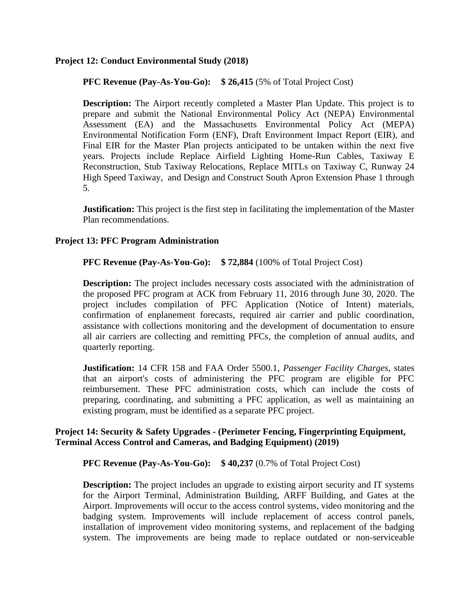### **Project 12: Conduct Environmental Study (2018)**

## **PFC Revenue (Pay-As-You-Go):** \$26,415 (5% of Total Project Cost)

**Description:** The Airport recently completed a Master Plan Update. This project is to prepare and submit the National Environmental Policy Act (NEPA) Environmental Assessment (EA) and the Massachusetts Environmental Policy Act (MEPA) Environmental Notification Form (ENF), Draft Environment Impact Report (EIR), and Final EIR for the Master Plan projects anticipated to be untaken within the next five years. Projects include Replace Airfield Lighting Home-Run Cables, Taxiway E Reconstruction, Stub Taxiway Relocations, Replace MITLs on Taxiway C, Runway 24 High Speed Taxiway, and Design and Construct South Apron Extension Phase 1 through 5.

**Justification:** This project is the first step in facilitating the implementation of the Master Plan recommendations.

### **Project 13: PFC Program Administration**

## **PFC Revenue (Pay-As-You-Go): \$ 72,884** (100% of Total Project Cost)

**Description:** The project includes necessary costs associated with the administration of the proposed PFC program at ACK from February 11, 2016 through June 30, 2020. The project includes compilation of PFC Application (Notice of Intent) materials, confirmation of enplanement forecasts, required air carrier and public coordination, assistance with collections monitoring and the development of documentation to ensure all air carriers are collecting and remitting PFCs, the completion of annual audits, and quarterly reporting.

**Justification:** 14 CFR 158 and FAA Order 5500.1, *Passenger Facility Charges,* states that an airport's costs of administering the PFC program are eligible for PFC reimbursement. These PFC administration costs, which can include the costs of preparing, coordinating, and submitting a PFC application, as well as maintaining an existing program, must be identified as a separate PFC project.

## **Project 14: Security & Safety Upgrades - (Perimeter Fencing, Fingerprinting Equipment, Terminal Access Control and Cameras, and Badging Equipment) (2019)**

### **PFC Revenue (Pay-As-You-Go):** \$40,237 (0.7% of Total Project Cost)

**Description:** The project includes an upgrade to existing airport security and IT systems for the Airport Terminal, Administration Building, ARFF Building, and Gates at the Airport. Improvements will occur to the access control systems, video monitoring and the badging system. Improvements will include replacement of access control panels, installation of improvement video monitoring systems, and replacement of the badging system. The improvements are being made to replace outdated or non-serviceable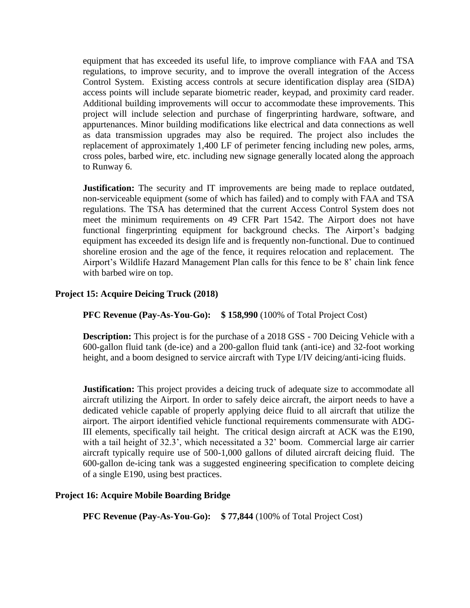equipment that has exceeded its useful life, to improve compliance with FAA and TSA regulations, to improve security, and to improve the overall integration of the Access Control System. Existing access controls at secure identification display area (SIDA) access points will include separate biometric reader, keypad, and proximity card reader. Additional building improvements will occur to accommodate these improvements. This project will include selection and purchase of fingerprinting hardware, software, and appurtenances. Minor building modifications like electrical and data connections as well as data transmission upgrades may also be required. The project also includes the replacement of approximately 1,400 LF of perimeter fencing including new poles, arms, cross poles, barbed wire, etc. including new signage generally located along the approach to Runway 6.

**Justification:** The security and IT improvements are being made to replace outdated, non-serviceable equipment (some of which has failed) and to comply with FAA and TSA regulations. The TSA has determined that the current Access Control System does not meet the minimum requirements on 49 CFR Part 1542. The Airport does not have functional fingerprinting equipment for background checks. The Airport's badging equipment has exceeded its design life and is frequently non-functional. Due to continued shoreline erosion and the age of the fence, it requires relocation and replacement. The Airport's Wildlife Hazard Management Plan calls for this fence to be 8' chain link fence with barbed wire on top.

## **Project 15: Acquire Deicing Truck (2018)**

**PFC Revenue (Pay-As-You-Go): \$ 158,990** (100% of Total Project Cost)

**Description:** This project is for the purchase of a 2018 GSS - 700 Deicing Vehicle with a 600-gallon fluid tank (de-ice) and a 200-gallon fluid tank (anti-ice) and 32-foot working height, and a boom designed to service aircraft with Type I/IV deicing/anti-icing fluids.

**Justification:** This project provides a deicing truck of adequate size to accommodate all aircraft utilizing the Airport. In order to safely deice aircraft, the airport needs to have a dedicated vehicle capable of properly applying deice fluid to all aircraft that utilize the airport. The airport identified vehicle functional requirements commensurate with ADG-III elements, specifically tail height. The critical design aircraft at ACK was the E190, with a tail height of 32.3', which necessitated a 32' boom. Commercial large air carrier aircraft typically require use of 500-1,000 gallons of diluted aircraft deicing fluid. The 600-gallon de-icing tank was a suggested engineering specification to complete deicing of a single E190, using best practices.

### **Project 16: Acquire Mobile Boarding Bridge**

**PFC Revenue (Pay-As-You-Go):** \$77,844 (100% of Total Project Cost)